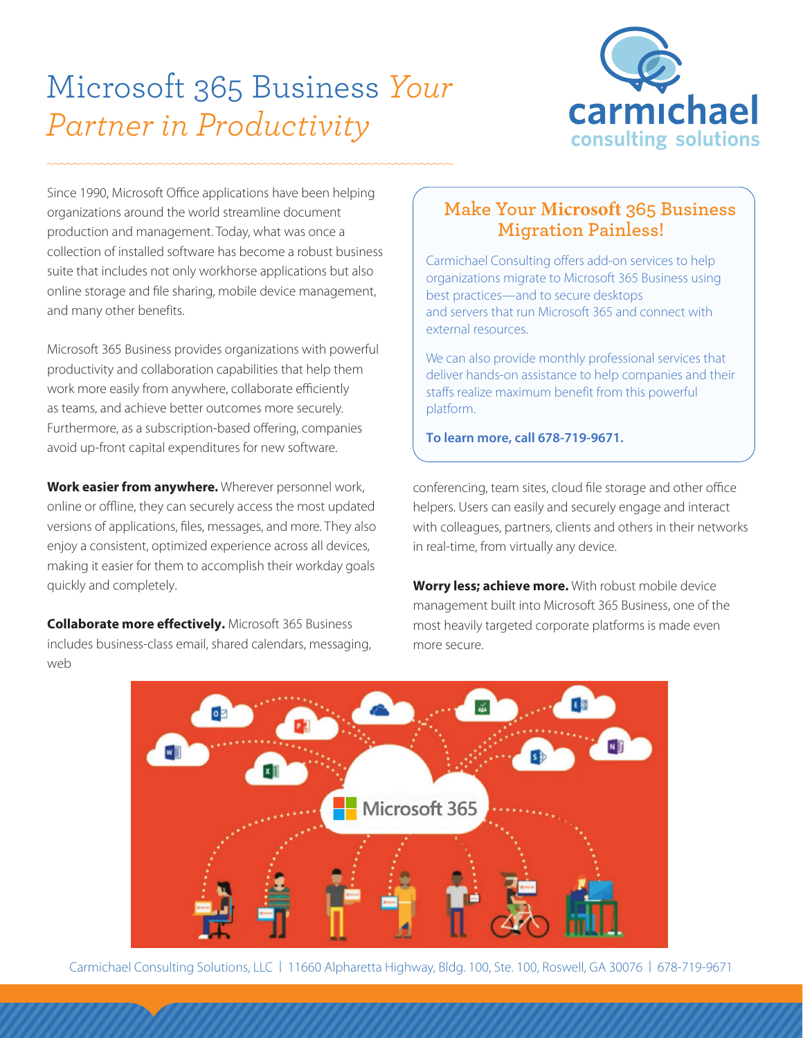## Microsoft 365 Business *Your Partner in Productivity*



Since 1990, Microsoft Office applications have been helping organizations around the world streamline document production and management. Today, what was once a collection of installed software has become a robust business suite that includes not only workhorse applications but also online storage and file sharing, mobile device management, and many other benefits.

Microsoft 365 Business provides organizations with powerful productivity and collaboration capabilities that help them work more easily from anywhere, collaborate efficiently as teams, and achieve better outcomes more securely. Furthermore, as a subscription-based offering, companies avoid up-front capital expenditures for new software.

**Work easier from anywhere.** Wherever personnel work, online or offline, they can securely access the most updated versions of applications, files, messages, and more. They also enjoy a consistent, optimized experience across all devices, making it easier for them to accomplish their workday goals quickly and completely.

**Collaborate more effectively.** Microsoft 365 Business includes business-class email, shared calendars, messaging, web

## **Make Your Microsoft 365 Business Migration Painless!**

Carmichael Consulting offers add-on services to help organizations migrate to Microsoft 365 Business using best practices—and to secure desktops and servers that run Microsoft 365 and connect with external resources.

We can also provide monthly professional services that deliver hands-on assistance to help companies and their staffs realize maximum benefit from this powerful platform.

**To learn more, call 678-719-9671.**

conferencing, team sites, cloud file storage and other office helpers. Users can easily and securely engage and interact with colleagues, partners, clients and others in their networks in real-time, from virtually any device.

**Worry less; achieve more.** With robust mobile device management built into Microsoft 365 Business, one of the most heavily targeted corporate platforms is made even more secure.



Carmichael Consulting Solutions, LLC | 11660 Alpharetta Highway, Bldg. 100, Ste. 100, Roswell, GA 30076 | 678-719-9671